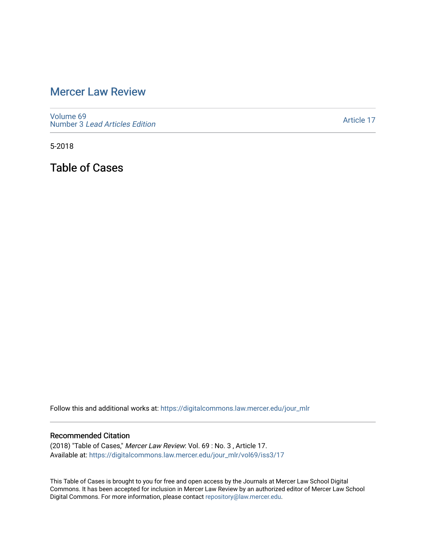# [Mercer Law Review](https://digitalcommons.law.mercer.edu/jour_mlr)

[Volume 69](https://digitalcommons.law.mercer.edu/jour_mlr/vol69) Number 3 [Lead Articles Edition](https://digitalcommons.law.mercer.edu/jour_mlr/vol69/iss3)

[Article 17](https://digitalcommons.law.mercer.edu/jour_mlr/vol69/iss3/17) 

5-2018

Table of Cases

Follow this and additional works at: [https://digitalcommons.law.mercer.edu/jour\\_mlr](https://digitalcommons.law.mercer.edu/jour_mlr?utm_source=digitalcommons.law.mercer.edu%2Fjour_mlr%2Fvol69%2Fiss3%2F17&utm_medium=PDF&utm_campaign=PDFCoverPages)

#### Recommended Citation

(2018) "Table of Cases," Mercer Law Review: Vol. 69 : No. 3 , Article 17. Available at: [https://digitalcommons.law.mercer.edu/jour\\_mlr/vol69/iss3/17](https://digitalcommons.law.mercer.edu/jour_mlr/vol69/iss3/17?utm_source=digitalcommons.law.mercer.edu%2Fjour_mlr%2Fvol69%2Fiss3%2F17&utm_medium=PDF&utm_campaign=PDFCoverPages) 

This Table of Cases is brought to you for free and open access by the Journals at Mercer Law School Digital Commons. It has been accepted for inclusion in Mercer Law Review by an authorized editor of Mercer Law School Digital Commons. For more information, please contact [repository@law.mercer.edu](mailto:repository@law.mercer.edu).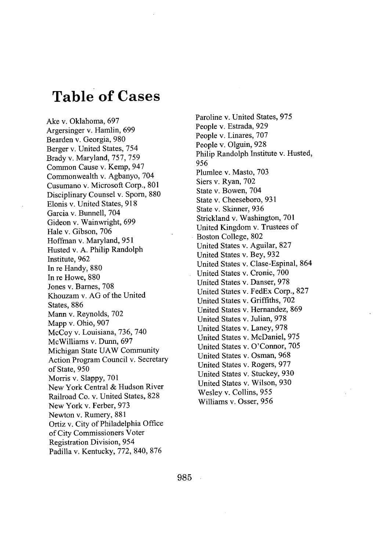# **Table of Cases**

Ake v. Oklahoma, **697** Argersinger v. Hamlin, **699** Bearden v. Georgia, **980** Berger v. United States, 754 Brady v. Maryland, **757, 759** Common Cause v. Kemp, 947 Commonwealth v. Agbanyo, 704 Cusumano v. Microsoft Corp., **801** Disciplinary Counsel v. Sporn, **880** Elonis v. United States, **918** Garcia v. Bunnell, 704 Gideon v. Wainwright, **699** Hale v. Gibson, **706** Hoffman v. Maryland, **951** Husted v. **A.** Philip Randolph Institute, **962** In re Handy, **880** In re Howe, **880** Jones v. Barnes, **708** Khouzam v. **AG** of the United States, **886** Mann v. Reynolds, **702** Mapp v. Ohio, **907** McCoy v. Louisiana, **736,** 740 McWilliams v. Dunn, **697** Michigan State **UAW** Community Action Program Council v. Secretary of State, **950** Morris v. Slappy, **701** New York Central **&** Hudson River Railroad Co. v. United States, **828** New York v. Ferber, **973** Newton v. Rumery, **881** Ortiz v. City of Philadelphia Office of City Commissioners Voter Registration Division, 954 Padilla v. Kentucky, **772,** 840, **876**

Paroline v. United States, **975** People v. Estrada, **929** People v. Linares, **707** People v. Olguin, **928** Philip Randolph Institute v. Husted, **956** Plumlee v. Masto, **703** Siers v. Ryan, **702** State v. Bowen, 704 State v. Cheeseboro, **931** State v. Skinner, **936** Strickland v. Washington, **701** United Kingdom v. Trustees of Boston College, **802** United States v. Aguilar, **827** United States v. Bey, **932** United States v. Clase-Espinal, 864 United States v. Cronic, **700** United States v. Danser, **978** United States v. FedEx Corp., **827** United States v. Griffiths, **702** United States v. Hernandez, **869** United States v. Julian, **978** United States v. Laney, **978** United States v. McDaniel, **975** United States v. O'Connor, **705** United States v. Osman, **968** United States v. Rogers, **977** United States v. Stuckey, **930** United States v. Wilson, **930** Wesley v. Collins, **955** Williams v. Osser, **956**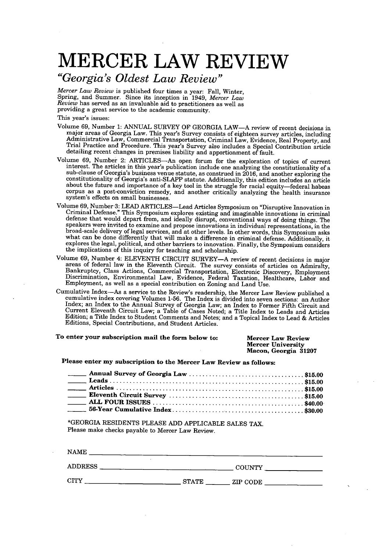### *"Georgia's Oldest Law Review"*

*Mercer Law Review* is published four times a year: Fall, Winter, Spring, and Summer. Since its inception in 1949, *Mercer Law Review* has served as an invaluable aid to practitioners as well as providing a great service to the academic community.

This year's issues:

- Volume **69,** Number **1: ANNUAL** SURVEY OF **GEORGIA** LAW-A review of recent decisions in major areas of Georgia Law. This year's Survey consists of eighteen survey articles, including Administrative Law, Commercial Transportation, Criminal Law, Evidence, Real Property, and Trial Practice and Procedure. This year's Survey also includes a Special Contribution article detailing recent changes in premises liability and apportionment of fault.
- Volume **69,** Number 2: ARTICLES-An open forum for the exploration of topics of current interest. The articles in this year's publication include one analyzing the constitutionality of a sub-clause of Georgia's business venue statute, as construed in **2016,** and another exploring the constitutionality of Georgia's anti-SLAPP statute. Additionally, this edition includes an article about the future and importance of a key tool in the struggle for racial equity-federal habeas corpus as a post-conviction remedy, and another critically analyzing the health insurance system's effects on small businesses.
- Volume **69,** Number 3: **LEAD** ARTICLES-Lead Articles Symposium on "Disruptive Innovation in Criminal Defense." This Symposium explores existing and imaginable innovations in criminal defense that would depart from, and ideally disrupt, conventional ways of doing things. The speakers were invited to examine and propose innovations in individual representations, in the broad-scale delivery of legal services, and at other levels. In other words, this Symposium asks what can be done differently that will make a difference in criminal defense. Additionally, it explores the legal, political, and other barriers to innovation. Finally, the Symposium considers the implications of this inquiry for teaching and scholarship.
- Volume 69, Number 4: ELEVENTH CIRCUIT SURVEY-A review of recent decisions in major areas of federal law in the Eleventh Circuit. The survey consists of articles on Admiralty, areas of federal law in the Eleventh Circuit. The survey consists of articles on Admiralty,<br>Bankruptcy, Class Actions, Commercial Transportation, Electronic Discovery, Employment<br>Discrimination, Environmental Law, Evidence
- Cumulative Index-As a service to the Review's readership, the Mercer Law Review published a cumulative index covering Volumes **1-56.** The Index is divided into seven sections: an Author Index; an Index to the Annual Survey of Georgia Law; an Index to Former Fifth Circuit and Current Eleventh Circuit Law; a Table of Cases Noted; a Title Index to Leads and Articles Edition; a Title Index to Student Comments and Notes; and a Topical Index to Lead **&** Articles Editions, Special Contributions, and Student Articles.

#### To enter your subscription **mail the form below to: Mercer Law Review Mercer University Macon, Georgia 31207**

**Please enter my subscription to the Mercer Law Review as follows:**

| <b>Contract Contract</b> |  |
|--------------------------|--|
|                          |  |

\*GEORGIA RESIDENTS **PLEASE ADD** APPLICABLE **SALES** TAX. Please make checks payable to Mercer Law Review.

| <b>NAME</b>    |                          |
|----------------|--------------------------|
| <b>ADDRESS</b> | <b>COUNTY</b>            |
| CITY           | <b>STATE</b><br>ZIP CODE |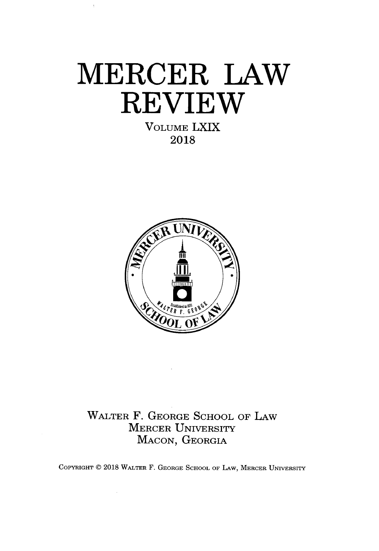**VOLUME LXIX 2018**



## WALTER F. **GEORGE SCHOOL** OF LAW MERCER UNIVERSITY **MACON, GEORGIA**

COPYRIGHT @ **2018** WALTER F. **GEORGE SCHOOL** OF LAW, MERCER UNIVERSITY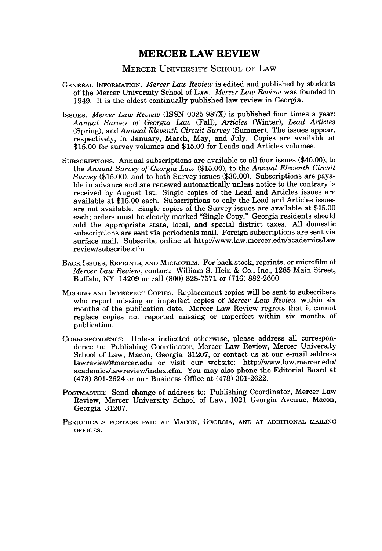#### **MERCER UNIVERSITY SCHOOL OF LAW**

- **GENERAL INFORMATION.** *Mercer Law Review* is edited and published **by** students of the Mercer University School of Law. *Mercer Law Review* was founded in 1949. It is the oldest continually published law review in Georgia.
- *IssuEs. Mercer Law Review* (ISSN **0025-987X)** is published four times a year: *Annual Survey of Georgia Law (Fall), Articles* (Winter), *Lead Articles* (Spring), and *Annual Eleventh Circuit Survey* (Summer). The issues appear, respectively, in January, March, May, and July. Copies are available at **\$15.00** for survey volumes and **\$15.00** for Leads and Articles volumes.
- **SUBSCRIPTIONS.** Annual subscriptions are available to all four issues (\$40.00), to the *Annual Survey of Georgia Law* **(\$15.00),** to the *Annual Eleventh Circuit Survey* **(\$15.00),** and to both Survey issues **(\$30.00).** Subscriptions are payable in advance and are renewed automatically unless notice to the contrary is received **by** August 1st. Single copies of the Lead and Articles issues are available at **\$15.00** each. Subscriptions to only the Lead and Articles issues are not available. Single copies of the Survey issues are available at **\$15.00** each; orders must be clearly marked "Single Copy." Georgia residents should add the appropriate state, local, and special district taxes. **All** domestic subscriptions are sent via periodicals mail. Foreign subscriptions are sent via surface mail. Subscribe online at http://www.law.mercer.edu/academics/law review/subscribe.cfm
- **BACK** IssuEs, **REPRINTS, AND MICROFILM.** For back stock, reprints, or microfilm of *Mercer Law Review,* contact: William **S.** Hein **&** Co., Inc., **1285** Main Street, Buffalo, NY 14209 or call **(800) 828-7571** or **(716) 882-2600.**
- **MISSING AND IMPERFECT** COPIEs. Replacement copies will be sent to subscribers who report missing or imperfect copies of *Mercer Law Review* within six months of the publication date. Mercer Law Review regrets that it cannot replace copies not reported missing or imperfect within six months of publication.
- **CORRESPONDENCE.** Unless indicated otherwise, please address all correspondence to: Publishing Coordinator, Mercer Law Review, Mercer University School of Law, Macon, Georgia **31207,** or contact us at our e-mail address lawreview@mercer.edu or visit our website: http://www.law.mercer.edu/ academics/lawreview/index.cfm. You may also phone the Editorial Board at **(478)** 301-2624 or our Business Office at **(478) 301-2622.**
- **POSTMASTER:** Send change of address to: Publishing Coordinator, Mercer Law Review, Mercer University School of Law, 1021 Georgia Avenue, Macon, Georgia **31207.**
- **PERIODICALS POSTAGE PAID AT MACON, GEORGIA, AND AT ADDITIONAL MAILING OFFICES.**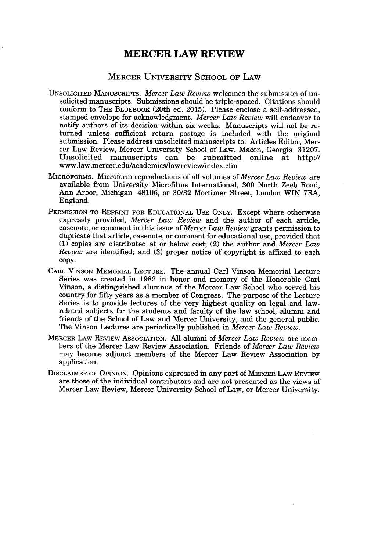#### MERCER UNIVERSITY **SCHOOL** OF LAW

- UNSOLICITED **MANUSCRIPTS.** *Mercer Law Review* welcomes the submission of unsolicited manuscripts. Submissions should be triple-spaced. Citations should conform to THE **BLUEBOOK** (20th ed. **2015).** Please enclose a self-addressed, stamped envelope for acknowledgment. *Mercer Law Review* will endeavor to notify authors of its decision within six weeks. Manuscripts will not be returned unless sufficient return postage is included with the original submission. Please address unsolicited manuscripts to: Articles Editor, Mercer Law Review, Mercer University School of Law, Macon, Georgia **31207.** Unsolicited manuscripts can be submitted online at http://  ${\tt www.law.mercer.edu/academics/lawreview/index.cfi}$
- MIcRoronus. Microform reproductions of all volumes *of Mercer Law Review* are available from University Microfilms International, **300** North Zeeb Road, Ann Arbor, Michigan 48106, or **30/32** Mortimer Street, London WIN 7RA, England.
- **PERMISSION TO REPRINT FOR EDUCATIONAL USE ONLY.** Except where otherwise expressly provided, *Mercer Law Review* and the author of each article, casenote, or comment in this issue of *Mercer Law Review* grants permission to duplicate that article, casenote, or comment for educational use, provided that **(1)** copies are distributed at or below cost; (2) the author and *Mercer Law Review* are identified; and **(3)** proper notice of copyright is affixed to each **copy.**
- CARL **VINSON MEMORIAL LECTURE.** The annual Carl Vinson Memorial Lecture Series was created in **1982** in honor and memory of the Honorable Carl Vinson, a distinguished alumnus of the Mercer Law School who served his country for **fifty** years as a member of Congress. The purpose of the Lecture Series is to provide lectures of the very highest quality on legal and lawrelated subjects for the students and faculty of the law school, alumni and friends of the School of Law and Mercer University, and the general public. The Vinson Lectures are periodically published in *Mercer Law Review.*
- MERCER LAw REVIEw ASSOCIATION. **All** alumni of *Mercer Law Review* are members of the Mercer Law Review Association. Friends of *Mercer Law Review* may become adjunct members of the Mercer Law Review Association **by** application.
- **DISCLAIMER OF** OPINION. Opinions expressed in any part **of MERCER LAw** REvIEw are those of the individual contributors and are not presented as the views of Mercer Law Review, Mercer University School of Law, or Mercer University.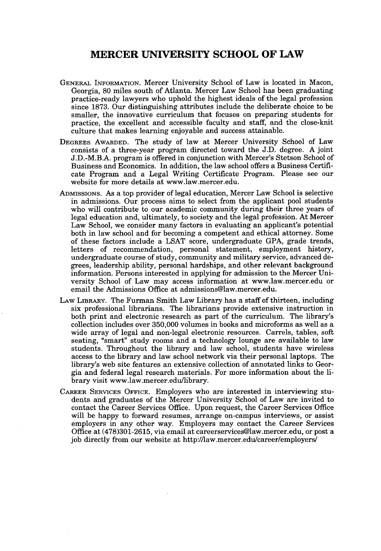#### **MERCER UNIVERSITY SCHOOL OF LAW**

- **GENERAL INFORMATION.** Mercer University School of Law is located in Macon, Georgia, **80** miles south of Atlanta. Mercer Law School has been graduating practice-ready lawyers who uphold the highest ideals of the legal profession since **1873.** Our distinguishing attributes include the deliberate choice to be smaller, the innovative curriculum that focuses on preparing students for practice, the excellent and accessible faculty and staff, and the close-knit culture that makes learning enjoyable and success attainable.
- **DEGREES AWARDED.** The study of law at Mercer University School of Law consists of a three-year program directed toward the **J.D.** degree. **A** joint **J.D.-M.B.A.** program is offered in conjunction with Mercer's Stetson School of Business and Economics. In addition, the law school offers a Business *Certifi*cate Program and a Legal Writing Certificate Program. Please see our website for more details at www.law.mercer.edu.
- **ADMISsIoNs.** As a top provider of legal education, Mercer Law School is selective in admissions. Our process aims to select from the applicant pool students who will contribute to our academic community during their three years of legal education and, ultimately, to society and the legal profession. At Mercer Law School, we consider many factors in evaluating an applicant's potential both in law school and for becoming a competent and ethical attorney. Some of these factors include a **LSAT** score, undergraduate **GPA,** grade trends, letters of recommendation, personal statement, employment history, undergraduate course of study, community and military service, advanced degrees, leadership ability, personal hardships, and other relevant background information. Persons interested in applying for admission to the Mercer University School of Law may access information at www.law.mercer.edu or email the Admissions Office at admissions@law.mercer.edu.
- LAw **LIBRARY.** The Furman Smith Law Library has a staff of thirteen, including six professional librarians. The librarians provide extensive instruction in both print and electronic research as part of the curriculum. The library's collection includes over **350,000** volumes in books and microforms as well as a wide array of legal and non-legal electronic resources. Carrels, tables, soft seating, "smart" study rooms and a technology lounge are available to law students. Throughout the library and law school, students have wireless access to the library and law school network via their personal laptops. The library's web site features an extensive collection of annotated links to Georgia and federal legal research materials. For more information about the library visit www.law.mercer.edullibrary.
- CAREER **SERVICES OFFICE.** Employers who are interested in interviewing students and graduates of the Mercer University School of Law are invited to contact the Career Services Office. Upon request, the Career Services Office will be happy to forward resumes, arrange on-campus interviews, or assist employers in any other way. Employers may contact the Career Services Office at **(478)301-2615,** via email at careerservices@law.mercer.edu, or post a **job** directly from our website at http://law.mercer.edulcareer/employers/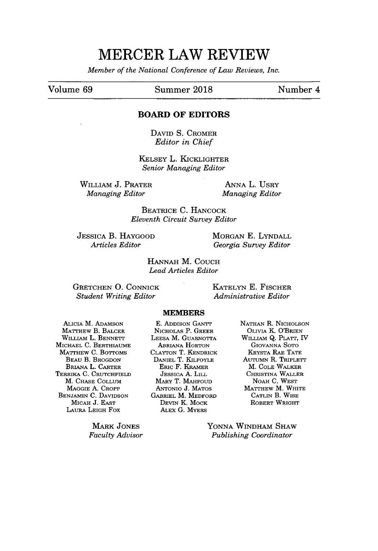*Member of the National Conference of Law Reviews, Inc.*

#### Volume **69** Summer **2018** Number 4

#### **BOARD OF EDITORS**

DAVID **S. CROMER** *Editor in Chief*

KELSEY L. KICKLIGHTER *Senior Managing Editor*

WILLIAM **J.** PRATER *Managing Editor*

**ANNA** L. UsRy *Managing Editor*

BEATRICE **C.** HANCOCK *Eleventh Circuit Survey Editor*

**JESSICA** B. HAYGOOD *Articles Editor*

MORGAN **E. LYNDALL** *Georgia Survey Editor*

**HANNAH** M. **COUCH** *Lead Articles Editor*

**GRETCHEN 0.** CONNICK *Student Writing Editor*

**KATELYN E.** FISCHER *Administrative Editor*

#### **MEMBERS**

ALICIA M. ADAMSON MATTHEw B. BALCER WILLIAM L. BENNETT MICHAEL **C.** BERTHIAUME MATTHEW **C.** BoTOMs BEAu B. BROGDON BRIANA L. CARTER TERRIKA **C.** CRUTCHFIELD M. **CHASE COLLUM** MAGGIE **A.** CROPP **BENJAMIN C. DAVIDSON** MICAH **J. EAST** LAuRA LEIGH Fox

> MARK **JONES** *Faculty Advisor*

**E.** ADDISON GANTT NICHOLAS P. GREER **LEESA** M. GUARNOTTA ABRIANA HORTON **CLAYTON** T. KENDRICK **DANIEL** T. KILFoYLE ERIc F. KRAMER **JESSICA A.** LILL MARY T. **MAHFOUD** ANTONIO **J. MATOS** GABRIEL M. MEDFORD DEVIN K. MOCK ALEx **G.** MYERS

**NATHAN** R. **NICHOLSON** OLVIA K. O'BRIEN WILuAM **Q.** PLArr, IV GIOVANNA SoTo KRYSTA RAE **TATE** AuTumN R. TRIpLETT M. **COLE** WALKER CHRISTINA WALLER NOAH **C.** WEST MATTHEw M. WHITE CATLIN B. WISE ROBERT WRIGHT

**YONNA** WINDHAM SHAW *Publishing Coordinator*